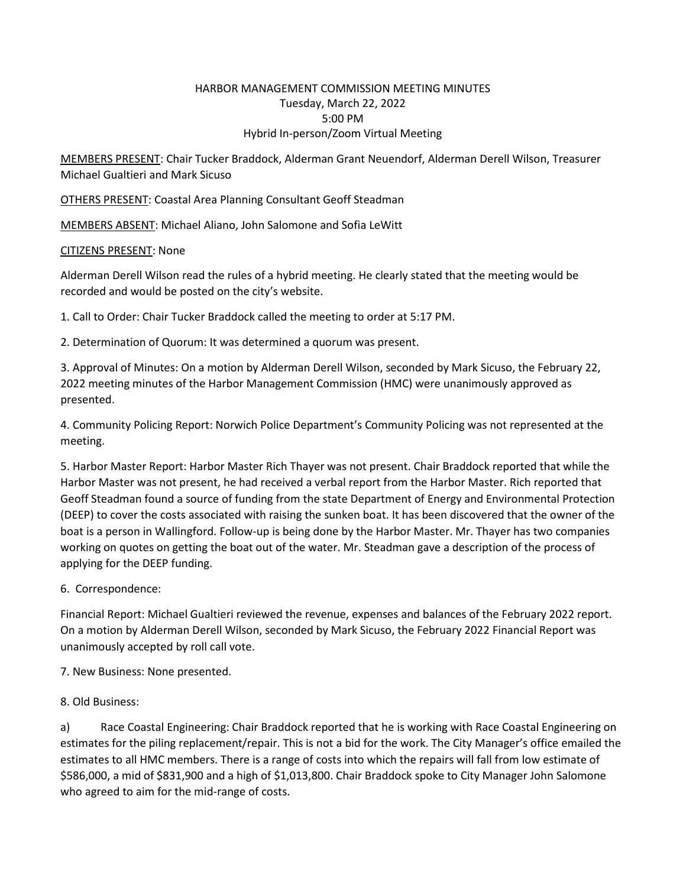## HARBOR MANAGEMENT COMMISSION MEETING MINUTES Tuesday, March 22, 2022 5:00 PM Hybrid In-person/Zoom Virtual Meeting

MEMBERS PRESENT: Chair Tucker Braddock, Alderman Grant Neuendorf, Alderman Derell Wilson, Treasurer Michael Gualtieri and Mark Sicuso

OTHERS PRESENT: Coastal Area Planning Consultant Geoff Steadman

MEMBERS ABSENT: Michael Aliano, John Salomone and Sofia LeWitt

## CITIZENS PRESENT: None

Alderman Derell Wilson read the rules of a hybrid meeting. He clearly stated that the meeting would be recorded and would be posted on the city's website.

1. Call to Order: Chair Tucker Braddock called the meeting to order at 5:17 PM.

2. Determination of Quorum: It was determined a quorum was present.

3. Approval of Minutes: On a motion by Alderman Derell Wilson, seconded by Mark Sicuso, the February 22, 2022 meeting minutes of the Harbor Management Commission (HMC) were unanimously approved as presented.

4. Community Policing Report: Norwich Police Department's Community Policing was not represented at the meeting.

5. Harbor Master Report: Harbor Master Rich Thayer was not present. Chair Braddock reported that while the Harbor Master was not present, he had received a verbal report from the Harbor Master. Rich reported that Geoff Steadman found a source of funding from the state Department of Energy and Environmental Protection (DEEP) to cover the costs associated with raising the sunken boat. It has been discovered that the owner of the boat is a person in Wallingford. Follow-up is being done by the Harbor Master. Mr. Thayer has two companies working on quotes on getting the boat out of the water. Mr. Steadman gave a description of the process of applying for the DEEP funding.

6. Correspondence:

Financial Report: Michael Gualtieri reviewed the revenue, expenses and balances of the February 2022 report. On a motion by Alderman Derell Wilson, seconded by Mark Sicuso, the February 2022 Financial Report was unanimously accepted by roll call vote.

7. New Business: None presented.

8. Old Business:

a) Race Coastal Engineering: Chair Braddock reported that he is working with Race Coastal Engineering on estimates for the piling replacement/repair. This is not a bid for the work. The City Manager's office emailed the estimates to all HMC members. There is a range of costs into which the repairs will fall from low estimate of \$586,000, a mid of \$831,900 and a high of \$1,013,800. Chair Braddock spoke to City Manager John Salomone who agreed to aim for the mid-range of costs.